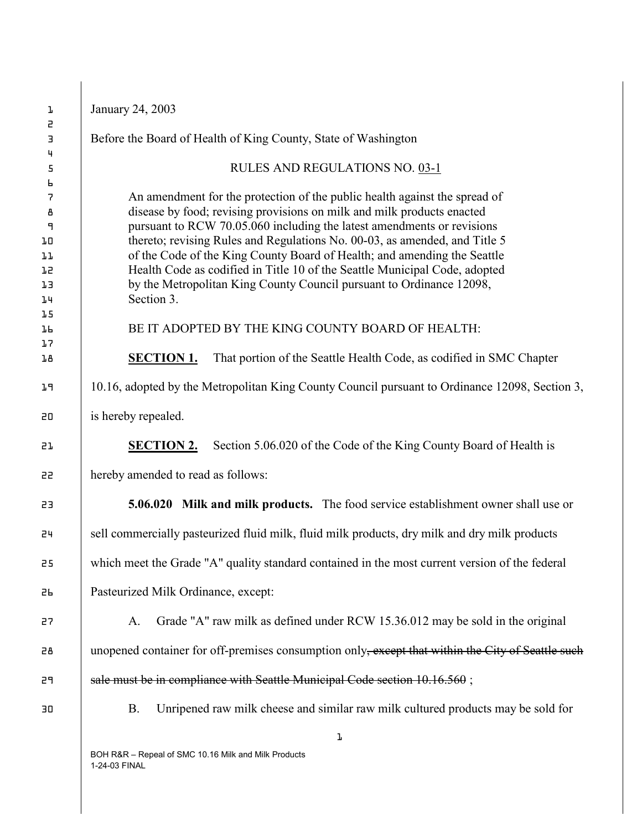| ŀ                             | January 24, 2003                                                                                                                                       |
|-------------------------------|--------------------------------------------------------------------------------------------------------------------------------------------------------|
| 5<br>Э                        | Before the Board of Health of King County, State of Washington                                                                                         |
| 4<br>5                        | RULES AND REGULATIONS NO. 03-1                                                                                                                         |
| Ь<br>$\overline{\mathcal{L}}$ | An amendment for the protection of the public health against the spread of                                                                             |
| В                             | disease by food; revising provisions on milk and milk products enacted<br>pursuant to RCW 70.05.060 including the latest amendments or revisions       |
| ٩<br>JО                       | thereto; revising Rules and Regulations No. 00-03, as amended, and Title 5                                                                             |
| ıг<br>75                      | of the Code of the King County Board of Health; and amending the Seattle<br>Health Code as codified in Title 10 of the Seattle Municipal Code, adopted |
| ıз                            | by the Metropolitan King County Council pursuant to Ordinance 12098,<br>Section 3.                                                                     |
| 14<br>1.5                     |                                                                                                                                                        |
| JЬ<br>17                      | BE IT ADOPTED BY THE KING COUNTY BOARD OF HEALTH:                                                                                                      |
| <b>J</b> B                    | <b>SECTION 1.</b><br>That portion of the Seattle Health Code, as codified in SMC Chapter                                                               |
| JЯ                            | 10.16, adopted by the Metropolitan King County Council pursuant to Ordinance 12098, Section 3,                                                         |
| 20                            | is hereby repealed.                                                                                                                                    |
| 57                            | <b>SECTION 2.</b><br>Section 5.06.020 of the Code of the King County Board of Health is                                                                |
| 22                            | hereby amended to read as follows:                                                                                                                     |
| 23                            | <b>5.06.020</b> Milk and milk products. The food service establishment owner shall use or                                                              |
| 24                            | sell commercially pasteurized fluid milk, fluid milk products, dry milk and dry milk products                                                          |
| 25                            | which meet the Grade "A" quality standard contained in the most current version of the federal                                                         |
| 56                            | Pasteurized Milk Ordinance, except:                                                                                                                    |
| 27                            | Grade "A" raw milk as defined under RCW 15.36.012 may be sold in the original<br>А.                                                                    |
| 28                            | unopened container for off-premises consumption only, except that within the City of Seattle such                                                      |
| 29                            | sale must be in compliance with Seattle Municipal Code section 10.16.560;                                                                              |
| 30                            | Unripened raw milk cheese and similar raw milk cultured products may be sold for<br><b>B.</b>                                                          |
|                               | ŀ                                                                                                                                                      |
|                               | BOH R&R - Repeal of SMC 10.16 Milk and Milk Products<br>1-24-03 FINAL                                                                                  |